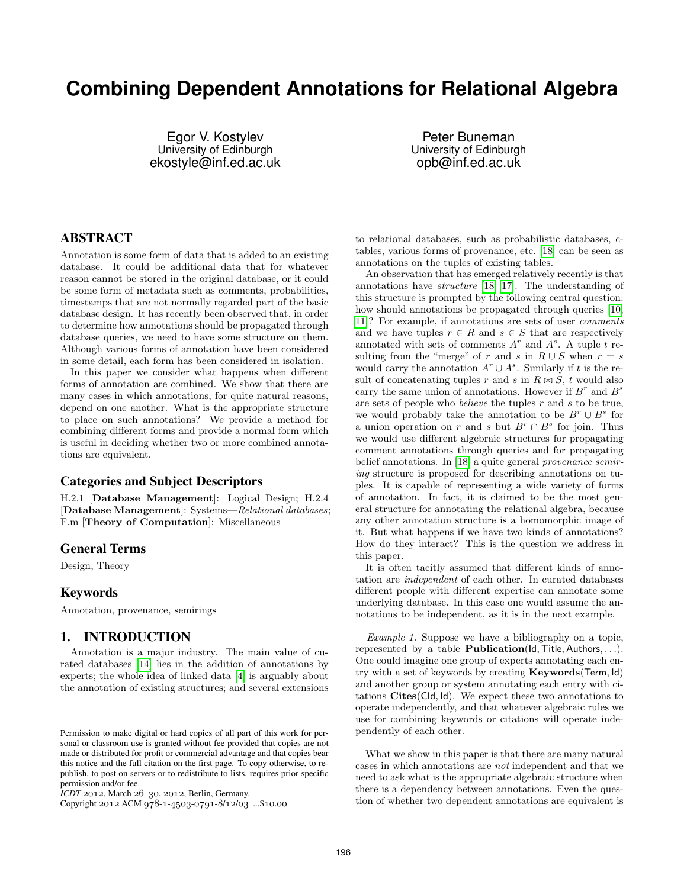# **Combining Dependent Annotations for Relational Algebra**

Egor V. Kostylev University of Edinburgh ekostyle@inf.ed.ac.uk

Peter Buneman University of Edinburgh opb@inf.ed.ac.uk

# ABSTRACT

Annotation is some form of data that is added to an existing database. It could be additional data that for whatever reason cannot be stored in the original database, or it could be some form of metadata such as comments, probabilities, timestamps that are not normally regarded part of the basic database design. It has recently been observed that, in order to determine how annotations should be propagated through database queries, we need to have some structure on them. Although various forms of annotation have been considered in some detail, each form has been considered in isolation.

In this paper we consider what happens when different forms of annotation are combined. We show that there are many cases in which annotations, for quite natural reasons, depend on one another. What is the appropriate structure to place on such annotations? We provide a method for combining different forms and provide a normal form which is useful in deciding whether two or more combined annotations are equivalent.

# Categories and Subject Descriptors

H.2.1 [Database Management]: Logical Design; H.2.4 [Database Management]: Systems—Relational databases; F.m [Theory of Computation]: Miscellaneous

# General Terms

Design, Theory

# Keywords

Annotation, provenance, semirings

# 1. INTRODUCTION

Annotation is a major industry. The main value of curated databases [14] lies in the addition of annotations by experts; the whole idea of linked data [4] is arguably about the annotation of existing structures; and several extensions

Copyright 2012 ACM 978-1-4503-0791-8/12/03 ...\$10.00

to relational databases, such as probabilistic databases, ctables, various forms of provenance, etc. [18] can be seen as annotations on the tuples of existing tables.

An observation that has emerged relatively recently is that annotations have structure [18, 17]. The understanding of this structure is prompted by the following central question: how should annotations be propagated through queries [10, 11]? For example, if annotations are sets of user comments and we have tuples  $r \in R$  and  $s \in S$  that are respectively annotated with sets of comments  $A^r$  and  $A^s$ . A tuple t resulting from the "merge" of r and s in  $R \cup S$  when  $r = s$ would carry the annotation  $A^r \cup A^s$ . Similarly if t is the result of concatenating tuples r and s in  $R \bowtie S$ , t would also carry the same union of annotations. However if  $B^r$  and  $B^s$ are sets of people who *believe* the tuples  $r$  and  $s$  to be true, we would probably take the annotation to be  $B^r \cup B^s$  for a union operation on r and s but  $B^r \cap B^s$  for join. Thus we would use different algebraic structures for propagating comment annotations through queries and for propagating belief annotations. In [18] a quite general provenance semiring structure is proposed for describing annotations on tuples. It is capable of representing a wide variety of forms of annotation. In fact, it is claimed to be the most general structure for annotating the relational algebra, because any other annotation structure is a homomorphic image of it. But what happens if we have two kinds of annotations? How do they interact? This is the question we address in this paper.

It is often tacitly assumed that different kinds of annotation are independent of each other. In curated databases different people with different expertise can annotate some underlying database. In this case one would assume the annotations to be independent, as it is in the next example.

Example 1. Suppose we have a bibliography on a topic, represented by a table **Publication**( $\text{Id},$  Title, Authors, ...). One could imagine one group of experts annotating each entry with a set of keywords by creating Keywords(Term, Id) and another group or system annotating each entry with citations Cites(CId, Id). We expect these two annotations to operate independently, and that whatever algebraic rules we use for combining keywords or citations will operate independently of each other.

What we show in this paper is that there are many natural cases in which annotations are not independent and that we need to ask what is the appropriate algebraic structure when there is a dependency between annotations. Even the question of whether two dependent annotations are equivalent is

Permission to make digital or hard copies of all part of this work for personal or classroom use is granted without fee provided that copies are not made or distributed for profit or commercial advantage and that copies bear this notice and the full citation on the first page. To copy otherwise, to republish, to post on servers or to redistribute to lists, requires prior specific permission and/or fee.

*ICDT* 2012, March 26-30, 2012, Berlin, Germany.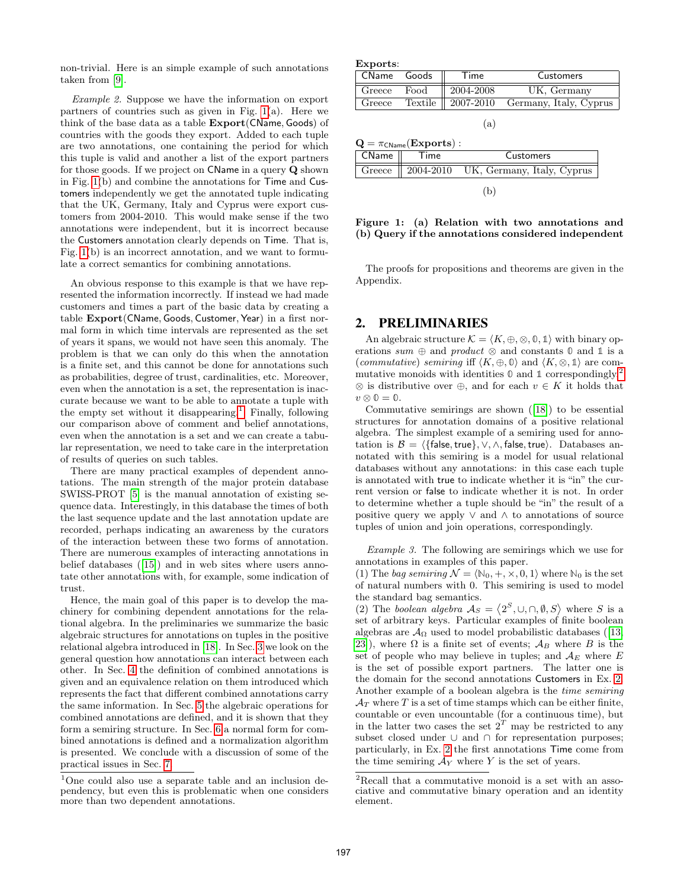non-trivial. Here is an simple example of such annotations taken from [9].

Example 2. Suppose we have the information on export partners of countries such as given in Fig.  $1(a)$ . Here we think of the base data as a table Export(CName, Goods) of countries with the goods they export. Added to each tuple are two annotations, one containing the period for which this tuple is valid and another a list of the export partners for those goods. If we project on CName in a query Q shown in Fig. 1(b) and combine the annotations for Time and Customers independently we get the annotated tuple indicating that the UK, Germany, Italy and Cyprus were export customers from 2004-2010. This would make sense if the two annotations were independent, but it is incorrect because the Customers annotation clearly depends on Time. That is, Fig. 1(b) is an incorrect annotation, and we want to formulate a correct semantics for combining annotations.

An obvious response to this example is that we have represented the information incorrectly. If instead we had made customers and times a part of the basic data by creating a table Export(CName, Goods, Customer, Year) in a first normal form in which time intervals are represented as the set of years it spans, we would not have seen this anomaly. The problem is that we can only do this when the annotation is a finite set, and this cannot be done for annotations such as probabilities, degree of trust, cardinalities, etc. Moreover, even when the annotation is a set, the representation is inaccurate because we want to be able to annotate a tuple with the empty set without it disappearing.<sup>1</sup> Finally, following our comparison above of comment and belief annotations, even when the annotation is a set and we can create a tabular representation, we need to take care in the interpretation of results of queries on such tables.

There are many practical examples of dependent annotations. The main strength of the major protein database SWISS-PROT [5] is the manual annotation of existing sequence data. Interestingly, in this database the times of both the last sequence update and the last annotation update are recorded, perhaps indicating an awareness by the curators of the interaction between these two forms of annotation. There are numerous examples of interacting annotations in belief databases ([15]) and in web sites where users annotate other annotations with, for example, some indication of trust.

Hence, the main goal of this paper is to develop the machinery for combining dependent annotations for the relational algebra. In the preliminaries we summarize the basic algebraic structures for annotations on tuples in the positive relational algebra introduced in [18]. In Sec. 3 we look on the general question how annotations can interact between each other. In Sec. 4 the definition of combined annotations is given and an equivalence relation on them introduced which represents the fact that different combined annotations carry the same information. In Sec. 5 the algebraic operations for combined annotations are defined, and it is shown that they form a semiring structure. In Sec. 6 a normal form for combined annotations is defined and a normalization algorithm is presented. We conclude with a discussion of some of the practical issues in Sec. 7.

| Exports. |
|----------|
|----------|

|        | CName Goods | Time      | Customers                                   |
|--------|-------------|-----------|---------------------------------------------|
| Greece | Food        | 2004-2008 | UK. Germany                                 |
| Greece |             |           | Textile    2007-2010 Germany, Italy, Cyprus |

| × | . . |
|---|-----|
|   |     |

| $\mathbf{Q} = \pi_{\mathsf{CMame}}(\mathbf{Exports})$ : |      |                                                         |  |  |  |
|---------------------------------------------------------|------|---------------------------------------------------------|--|--|--|
| $\mid$ CName $\mid\mid$                                 | Time | Customers                                               |  |  |  |
|                                                         |      | Greece $\parallel$ 2004-2010 UK, Germany, Italy, Cyprus |  |  |  |
|                                                         |      |                                                         |  |  |  |

Figure 1: (a) Relation with two annotations and (b) Query if the annotations considered independent

The proofs for propositions and theorems are given in the Appendix.

# 2. PRELIMINARIES

An algebraic structure  $\mathcal{K} = \langle K, \oplus, \otimes, \mathbb{0}, \mathbb{1} \rangle$  with binary operations sum ⊕ and product ⊗ and constants **0** and **1** is a (commutative) semiring iff  $\langle K, \oplus, \mathbb{0} \rangle$  and  $\langle K, \otimes, \mathbb{1} \rangle$  are commutative monoids with identities  $\mathbb{0}$  and  $\mathbb{1}$  correspondingly,<sup>2</sup>  $\otimes$  is distributive over  $\oplus$ , and for each  $v \in K$  it holds that  $v \otimes \mathbb{0} = \mathbb{0}.$ 

Commutative semirings are shown ([18]) to be essential structures for annotation domains of a positive relational algebra. The simplest example of a semiring used for annotation is  $\mathcal{B} = \{\{\text{false}, \text{true}\}, \vee, \wedge, \text{false}, \text{true}\}.$  Databases annotated with this semiring is a model for usual relational databases without any annotations: in this case each tuple is annotated with true to indicate whether it is "in" the current version or false to indicate whether it is not. In order to determine whether a tuple should be "in" the result of a positive query we apply ∨ and ∧ to annotations of source tuples of union and join operations, correspondingly.

Example 3. The following are semirings which we use for annotations in examples of this paper.

(1) The *bag semiring*  $\mathcal{N} = \langle \mathbb{N}_0, +, \times, 0, 1 \rangle$  where  $\mathbb{N}_0$  is the set of natural numbers with 0. This semiring is used to model the standard bag semantics.

(2) The boolean algebra  $A_S = \langle 2^S, \cup, \cap, \emptyset, S \rangle$  where S is a set of arbitrary keys. Particular examples of finite boolean algebras are  $\mathcal{A}_{\Omega}$  used to model probabilistic databases ([13, 23]), where  $\Omega$  is a finite set of events;  $\mathcal{A}_B$  where B is the set of people who may believe in tuples; and  $A_E$  where E is the set of possible export partners. The latter one is the domain for the second annotations Customers in Ex. 2. Another example of a boolean algebra is the time semiring  $\mathcal{A}_T$  where T is a set of time stamps which can be either finite, countable or even uncountable (for a continuous time), but in the latter two cases the set  $2^T$  may be restricted to any subset closed under ∪ and ∩ for representation purposes; particularly, in Ex. 2 the first annotations Time come from the time semiring  $\mathcal{A}_Y$  where Y is the set of years.

<sup>1</sup>One could also use a separate table and an inclusion dependency, but even this is problematic when one considers more than two dependent annotations.

<sup>2</sup>Recall that a commutative monoid is a set with an associative and commutative binary operation and an identity element.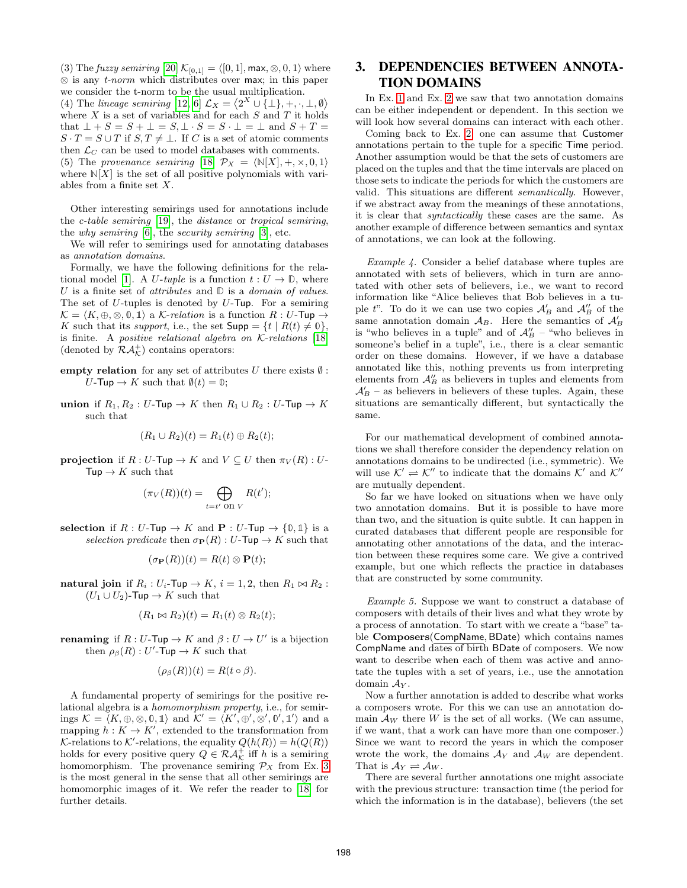(3) The fuzzy semiring [20]  $\mathcal{K}_{[0,1]} = \langle [0, 1], \max, \otimes, 0, 1 \rangle$  where  $\otimes$  is any *t-norm* which distributes over max; in this paper we consider the t-norm to be the usual multiplication. (4) The lineage semiring [12, 6]  $\mathcal{L}_X = \langle 2^X \cup {\{\perp\}}, +, \cdot, \perp, \emptyset \rangle$ where  $X$  is a set of variables and for each  $S$  and  $T$  it holds that  $\bot + S = S + \bot = S, \bot \cdot S = S \cdot \bot = \bot$  and  $S + T =$  $S \cdot T = S \cup T$  if  $S, T \neq \bot$ . If C is a set of atomic comments then  $\mathcal{L}_C$  can be used to model databases with comments. (5) The provenance semiring [18]  $\mathcal{P}_X = \langle \mathbb{N}[X], +, \times, 0, 1 \rangle$ where  $N[X]$  is the set of all positive polynomials with variables from a finite set X.

Other interesting semirings used for annotations include the c-table semiring [19], the distance or tropical semiring, the why semiring [6], the security semiring [3], etc.

We will refer to semirings used for annotating databases as annotation domains.

Formally, we have the following definitions for the relational model [1]. A *U*-tuple is a function  $t: U \to \mathbb{D}$ , where U is a finite set of attributes and **D** is a domain of values. The set of  $U$ -tuples is denoted by  $U$ -Tup. For a semiring  $\mathcal{K} = \langle K, \oplus, \otimes, \mathbb{0}, \mathbb{1} \rangle$  a K-relation is a function  $R : U$ -Tup  $\rightarrow$ K such that its *support*, i.e., the set  $\textsf{Supp} = \{t \mid R(t) \neq \emptyset\},\$ is finite. A positive relational algebra on K-relations [18] (denoted by  $\mathcal{RA}_{\mathcal{K}}^{+}$ ) contains operators:

empty relation for any set of attributes U there exists  $\emptyset$ : U-Tup  $\rightarrow$  K such that  $\emptyset(t) = \mathbb{0}$ ;

union if  $R_1, R_2 : U$ -Tup  $\rightarrow K$  then  $R_1 \cup R_2 : U$ -Tup  $\rightarrow K$ such that

$$
(R_1\cup R_2)(t)=R_1(t)\oplus R_2(t);
$$

**projection** if  $R: U$ -Tup  $\rightarrow K$  and  $V \subseteq U$  then  $\pi_V(R): U$ -Tup  $\rightarrow K$  such that

$$
(\pi_V(R))(t) = \bigoplus_{t=t' \text{ on } V} R(t');
$$

selection if  $R: U$ -Tup  $\rightarrow K$  and  $P: U$ -Tup  $\rightarrow \{0, 1\}$  is a selection predicate then  $\sigma_{\mathbf{P}}(R) : U$ -Tup  $\rightarrow K$  such that

$$
(\sigma_{\mathbf{P}}(R))(t) = R(t) \otimes \mathbf{P}(t);
$$

natural join if  $R_i : U_i$ -Tup  $\rightarrow K$ ,  $i = 1, 2$ , then  $R_1 \bowtie R_2$  :  $(U_1 \cup U_2)$ -Tup  $\rightarrow K$  such that

$$
(R_1 \bowtie R_2)(t) = R_1(t) \otimes R_2(t);
$$

**renaming** if  $R: U$ -Tup  $\rightarrow K$  and  $\beta: U \rightarrow U'$  is a bijection then  $\rho_{\beta}(R): U'$ -Tup  $\rightarrow K$  such that

$$
(\rho_{\beta}(R))(t) = R(t \circ \beta).
$$

A fundamental property of semirings for the positive relational algebra is a homomorphism property, i.e., for semirings  $\mathcal{K} = \langle K, \oplus, \otimes, \mathbb{0}, \mathbb{1} \rangle$  and  $\mathcal{K}' = \langle K', \oplus', \otimes', \mathbb{0}', \mathbb{1}' \rangle$  and a mapping  $h: K \to K'$ , extended to the transformation from K-relations to K'-relations, the equality  $Q(h(R)) = h(Q(R))$ holds for every positive query  $Q \in \mathcal{RA}_{\mathcal{K}}^+$  iff h is a semiring homomorphism. The provenance semiring  $\mathcal{P}_X$  from Ex. 3 is the most general in the sense that all other semirings are homomorphic images of it. We refer the reader to [18] for further details.

# 3. DEPENDENCIES BETWEEN ANNOTA-TION DOMAINS

In Ex. 1 and Ex. 2 we saw that two annotation domains can be either independent or dependent. In this section we will look how several domains can interact with each other.

Coming back to Ex. 2, one can assume that Customer annotations pertain to the tuple for a specific Time period. Another assumption would be that the sets of customers are placed on the tuples and that the time intervals are placed on those sets to indicate the periods for which the customers are valid. This situations are different semantically. However, if we abstract away from the meanings of these annotations, it is clear that syntactically these cases are the same. As another example of difference between semantics and syntax of annotations, we can look at the following.

Example 4. Consider a belief database where tuples are annotated with sets of believers, which in turn are annotated with other sets of believers, i.e., we want to record information like "Alice believes that Bob believes in a tuple t". To do it we can use two copies  $\mathcal{A}'_B$  and  $\mathcal{A}''_B$  of the same annotation domain  $A_B$ . Here the semantics of  $A'_B$ is "who believes in a tuple" and of  $\mathcal{A}_{B}^{\prime\prime}$  – "who believes in someone's belief in a tuple", i.e., there is a clear semantic order on these domains. However, if we have a database annotated like this, nothing prevents us from interpreting elements from  $\mathcal{A}_{B}''$  as believers in tuples and elements from  $\mathcal{A}'_B$  – as believers in believers of these tuples. Again, these situations are semantically different, but syntactically the same.

For our mathematical development of combined annotations we shall therefore consider the dependency relation on annotations domains to be undirected (i.e., symmetric). We will use  $K' \rightleftharpoons K''$  to indicate that the domains  $K'$  and  $K''$ are mutually dependent.

So far we have looked on situations when we have only two annotation domains. But it is possible to have more than two, and the situation is quite subtle. It can happen in curated databases that different people are responsible for annotating other annotations of the data, and the interaction between these requires some care. We give a contrived example, but one which reflects the practice in databases that are constructed by some community.

Example 5. Suppose we want to construct a database of composers with details of their lives and what they wrote by a process of annotation. To start with we create a "base" table Composers(CompName, BDate) which contains names CompName and dates of birth BDate of composers. We now want to describe when each of them was active and annotate the tuples with a set of years, i.e., use the annotation domain  $A_Y$ .

Now a further annotation is added to describe what works a composers wrote. For this we can use an annotation domain  $\mathcal{A}_W$  there W is the set of all works. (We can assume, if we want, that a work can have more than one composer.) Since we want to record the years in which the composer wrote the work, the domains  $\mathcal{A}_Y$  and  $\mathcal{A}_W$  are dependent. That is  $\mathcal{A}_Y \rightleftharpoons \mathcal{A}_W$ .

There are several further annotations one might associate with the previous structure: transaction time (the period for which the information is in the database), believers (the set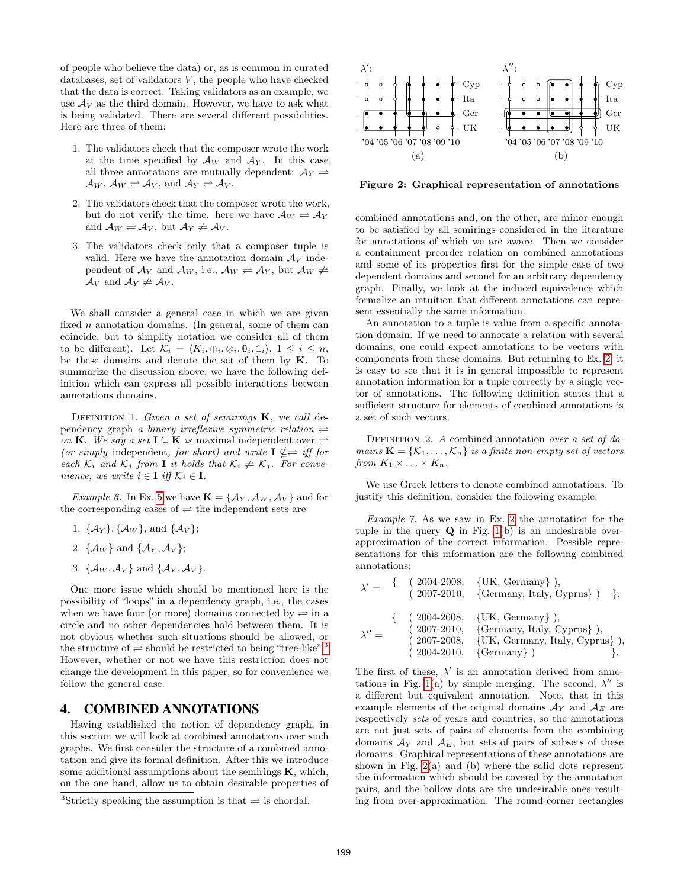of people who believe the data) or, as is common in curated databases, set of validators  $V$ , the people who have checked that the data is correct. Taking validators as an example, we use  $A_V$  as the third domain. However, we have to ask what is being validated. There are several different possibilities. Here are three of them:

- 1. The validators check that the composer wrote the work at the time specified by  $\mathcal{A}_W$  and  $\mathcal{A}_Y$ . In this case all three annotations are mutually dependent:  $A_Y \rightleftharpoons$  $\mathcal{A}_W$ ,  $\mathcal{A}_W \rightleftharpoons \mathcal{A}_V$ , and  $\mathcal{A}_Y \rightleftharpoons \mathcal{A}_V$ .
- 2. The validators check that the composer wrote the work, but do not verify the time. here we have  $\mathcal{A}_W \rightleftharpoons \mathcal{A}_Y$ and  $\mathcal{A}_W \rightleftharpoons \mathcal{A}_V$ , but  $\mathcal{A}_Y \neq \mathcal{A}_V$ .
- 3. The validators check only that a composer tuple is valid. Here we have the annotation domain  $A_V$  independent of  $\mathcal{A}_Y$  and  $\mathcal{A}_W$ , i.e.,  $\mathcal{A}_W \rightleftharpoons \mathcal{A}_Y$ , but  $\mathcal{A}_W \neq$  $\mathcal{A}_V$  and  $\mathcal{A}_Y \neq \mathcal{A}_V$ .

We shall consider a general case in which we are given fixed  $n$  annotation domains. (In general, some of them can coincide, but to simplify notation we consider all of them to be different). Let  $\mathcal{K}_i = \langle K_i, \oplus_i, \otimes_i, \mathbb{0}_i, \mathbb{1}_i \rangle, 1 \leq i \leq n$ , be these domains and denote the set of them by  $K$ . To summarize the discussion above, we have the following definition which can express all possible interactions between annotations domains.

DEFINITION 1. Given a set of semirings  $K$ , we call dependency graph a binary irreflexive symmetric relation  $\rightleftharpoons$ on K. We say a set  $I \subseteq K$  is maximal independent over  $\rightleftharpoons$ (or simply independent, for short) and write  $I \nsubseteq \rightrightarrows$  iff for each  $\mathcal{K}_i$  and  $\mathcal{K}_j$  from **I** it holds that  $\mathcal{K}_i \neq \mathcal{K}_j$ . For convenience, we write  $i \in \mathbf{I}$  iff  $\mathcal{K}_i \in \mathbf{I}$ .

*Example 6.* In Ex. 5 we have  $\mathbf{K} = \{A_Y, A_W, A_V\}$  and for the corresponding cases of  $\rightleftharpoons$  the independent sets are

- 1.  $\{\mathcal{A}_Y\}$ ,  $\{\mathcal{A}_W\}$ , and  $\{\mathcal{A}_V\}$ ;
- 2.  $\{A_W\}$  and  $\{A_Y, A_V\}$ ;
- 3.  $\{A_W, A_V\}$  and  $\{A_Y, A_V\}$ .

One more issue which should be mentioned here is the possibility of "loops" in a dependency graph, i.e., the cases when we have four (or more) domains connected by  $\rightleftharpoons$  in a circle and no other dependencies hold between them. It is not obvious whether such situations should be allowed, or the structure of  $\rightleftharpoons$  should be restricted to being "tree-like".<sup>3</sup> However, whether or not we have this restriction does not change the development in this paper, so for convenience we follow the general case.

# 4. COMBINED ANNOTATIONS

Having established the notion of dependency graph, in this section we will look at combined annotations over such graphs. We first consider the structure of a combined annotation and give its formal definition. After this we introduce some additional assumptions about the semirings  $K$ , which, on the one hand, allow us to obtain desirable properties of



Figure 2: Graphical representation of annotations

combined annotations and, on the other, are minor enough to be satisfied by all semirings considered in the literature for annotations of which we are aware. Then we consider a containment preorder relation on combined annotations and some of its properties first for the simple case of two dependent domains and second for an arbitrary dependency graph. Finally, we look at the induced equivalence which formalize an intuition that different annotations can represent essentially the same information.

An annotation to a tuple is value from a specific annotation domain. If we need to annotate a relation with several domains, one could expect annotations to be vectors with components from these domains. But returning to Ex. 2, it is easy to see that it is in general impossible to represent annotation information for a tuple correctly by a single vector of annotations. The following definition states that a sufficient structure for elements of combined annotations is a set of such vectors.

DEFINITION 2. A combined annotation over a set of domains  $\mathbf{K} = \{K_1, \ldots, K_n\}$  is a finite non-empty set of vectors from  $K_1 \times \ldots \times K_n$ .

We use Greek letters to denote combined annotations. To justify this definition, consider the following example.

Example 7. As we saw in Ex. 2 the annotation for the tuple in the query  $Q$  in Fig. 1(b) is an undesirable overapproximation of the correct information. Possible representations for this information are the following combined annotations:

$$
\lambda' = \begin{cases}\n(2004-2008, \{UK, Germany\}), \\
(2007-2010, \{Germany, Italy, Cyprus\})\}, \\
(2004-2008, \{UK, Germany\}), \\
\lambda'' = \begin{cases}\n(2004-2008, \{UK, Germany\}), \\
(2007-2010, \{Germany, Italy, Cyprus\}), \\
(2007-2008, \{UK, Germany, Italy, Cyprus\}), \\
(2004-2010, \{Germany\})\}\n\end{cases}
$$

The first of these,  $\lambda'$  is an annotation derived from annotations in Fig. 1(a) by simple merging. The second,  $\lambda''$  is a different but equivalent annotation. Note, that in this example elements of the original domains  $A_Y$  and  $A_E$  are respectively sets of years and countries, so the annotations are not just sets of pairs of elements from the combining domains  $\mathcal{A}_Y$  and  $\mathcal{A}_E$ , but sets of pairs of subsets of these domains. Graphical representations of these annotations are shown in Fig. 2(a) and (b) where the solid dots represent the information which should be covered by the annotation pairs, and the hollow dots are the undesirable ones resulting from over-approximation. The round-corner rectangles

<sup>&</sup>lt;sup>3</sup>Strictly speaking the assumption is that  $\rightleftharpoons$  is chordal.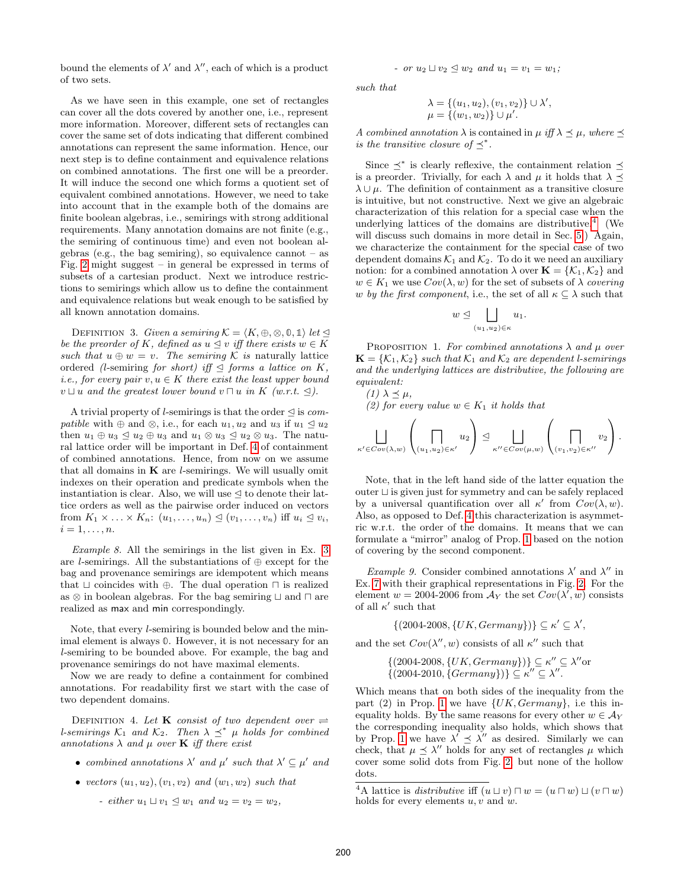bound the elements of  $\lambda'$  and  $\lambda''$ , each of which is a product of two sets.

As we have seen in this example, one set of rectangles can cover all the dots covered by another one, i.e., represent more information. Moreover, different sets of rectangles can cover the same set of dots indicating that different combined annotations can represent the same information. Hence, our next step is to define containment and equivalence relations on combined annotations. The first one will be a preorder. It will induce the second one which forms a quotient set of equivalent combined annotations. However, we need to take into account that in the example both of the domains are finite boolean algebras, i.e., semirings with strong additional requirements. Many annotation domains are not finite (e.g., the semiring of continuous time) and even not boolean algebras (e.g., the bag semiring), so equivalence cannot – as Fig. 2 might suggest – in general be expressed in terms of subsets of a cartesian product. Next we introduce restrictions to semirings which allow us to define the containment and equivalence relations but weak enough to be satisfied by all known annotation domains.

DEFINITION 3. Given a semiring  $K = \langle K, \oplus, \otimes, \mathbb{0}, \mathbb{1} \rangle$  let  $\leq$ be the preorder of K, defined as  $u \leq v$  iff there exists  $w \in K$ such that  $u \oplus w = v$ . The semiring K is naturally lattice ordered (l-semiring for short) iff  $\leq$  forms a lattice on K, i.e., for every pair  $v, u \in K$  there exist the least upper bound  $v \sqcup u$  and the greatest lower bound  $v \sqcap u$  in K (w.r.t.  $\triangleleft$ ).

A trivial property of *l*-semirings is that the order  $\leq$  is *com*patible with  $\oplus$  and  $\otimes$ , i.e., for each  $u_1, u_2$  and  $u_3$  if  $u_1 \leq u_2$ then  $u_1 \oplus u_3 \leq u_2 \oplus u_3$  and  $u_1 \otimes u_3 \leq u_2 \otimes u_3$ . The natural lattice order will be important in Def. 4 of containment of combined annotations. Hence, from now on we assume that all domains in  $K$  are *l*-semirings. We will usually omit indexes on their operation and predicate symbols when the instantiation is clear. Also, we will use  $\leq$  to denote their lattice orders as well as the pairwise order induced on vectors from  $K_1 \times \ldots \times K_n$ :  $(u_1, \ldots, u_n) \leq (v_1, \ldots, v_n)$  iff  $u_i \leq v_i$ ,  $i=1,\ldots,n$ .

Example 8. All the semirings in the list given in Ex. 3 are *l*-semirings. All the substantiations of  $\oplus$  except for the bag and provenance semirings are idempotent which means that  $\sqcup$  coincides with  $\oplus$ . The dual operation  $\sqcap$  is realized as  $\otimes$  in boolean algebras. For the bag semiring  $\sqcup$  and  $\sqcap$  are realized as max and min correspondingly.

Note, that every l-semiring is bounded below and the minimal element is always **0**. However, it is not necessary for an l-semiring to be bounded above. For example, the bag and provenance semirings do not have maximal elements.

Now we are ready to define a containment for combined annotations. For readability first we start with the case of two dependent domains.

DEFINITION 4. Let **K** consist of two dependent over  $\rightleftharpoons$ l-semirings  $K_1$  and  $K_2$ . Then  $\lambda \preceq^* \mu$  holds for combined annotations  $\lambda$  and  $\mu$  over **K** iff there exist

- combined annotations  $\lambda'$  and  $\mu'$  such that  $\lambda' \subseteq \mu'$  and
- vectors  $(u_1, u_2), (v_1, v_2)$  and  $(w_1, w_2)$  such that
	- either  $u_1 \sqcup v_1 \trianglelefteq w_1$  and  $u_2 = v_2 = w_2$ ,

- or 
$$
u_2 \sqcup v_2 \trianglelefteq w_2
$$
 and  $u_1 = v_1 = w_1$ ;

such that

$$
\lambda = \{(u_1, u_2), (v_1, v_2)\} \cup \lambda'
$$
  

$$
\mu = \{(w_1, w_2)\} \cup \mu'.
$$

,

 $v_2$  $\setminus$  $\vert \cdot$ 

A combined annotation  $\lambda$  is contained in  $\mu$  iff  $\lambda \preceq \mu$ , where  $\preceq$ is the transitive closure of  $\preceq^*$ .

Since  $\preceq^*$  is clearly reflexive, the containment relation  $\preceq$ is a preorder. Trivially, for each  $\lambda$  and  $\mu$  it holds that  $\lambda \preceq$  $\lambda \cup \mu$ . The definition of containment as a transitive closure is intuitive, but not constructive. Next we give an algebraic characterization of this relation for a special case when the underlying lattices of the domains are distributive.<sup>4</sup> (We will discuss such domains in more detail in Sec. 5.) Again, we characterize the containment for the special case of two dependent domains  $\mathcal{K}_1$  and  $\mathcal{K}_2$ . To do it we need an auxiliary notion: for a combined annotation  $\lambda$  over  $\mathbf{K} = \{K_1, K_2\}$  and  $w \in K_1$  we use  $Cov(\lambda, w)$  for the set of subsets of  $\lambda$  covering w by the first component, i.e., the set of all  $\kappa \subseteq \lambda$  such that

$$
w \trianglelefteq \bigsqcup_{(u_1, u_2) \in \kappa} u_1.
$$

PROPOSITION 1. For combined annotations  $\lambda$  and  $\mu$  over  $\mathbf{K} = \{ \mathcal{K}_1, \mathcal{K}_2 \}$  such that  $\mathcal{K}_1$  and  $\mathcal{K}_2$  are dependent l-semirings and the underlying lattices are distributive, the following are equivalent:

$$
(1) \lambda \preceq \mu,
$$
  
\n
$$
(2) \text{ for every value } w \in K_1 \text{ it holds that}
$$
  
\n
$$
\bigsqcup_{\kappa' \in Cov(\lambda, w)} \left( \bigcap_{(u_1, u_2) \in \kappa'} u_2 \right) \preceq \bigsqcup_{\kappa'' \in Cov(\mu, w)} \left( \bigcap_{(v_1, v_2) \in \kappa''}
$$

Note, that in the left hand side of the latter equation the outer  $\sqcup$  is given just for symmetry and can be safely replaced by a universal quantification over all  $\kappa'$  from  $Cov(\lambda, w)$ . Also, as opposed to Def. 4 this characterization is asymmetric w.r.t. the order of the domains. It means that we can formulate a "mirror" analog of Prop. 1 based on the notion of covering by the second component.

Example 9. Consider combined annotations  $\lambda'$  and  $\lambda''$  in Ex. 7 with their graphical representations in Fig. 2. For the element  $w = 2004\text{-}2006$  from  $\mathcal{A}_Y$  the set  $Cov(\lambda', w)$  consists of all  $\kappa'$  such that

 $\{(2004-2008, \{UK, Germany\})\}\subseteq \kappa' \subseteq \lambda',$ 

and the set  $Cov(\lambda'', w)$  consists of all  $\kappa''$  such that

$$
\{(2004-2008, \{UK, Germany\})\} \subseteq \kappa'' \subseteq \lambda''
$$
or  

$$
\{(2004-2010, \{Germany\})\} \subseteq \kappa'' \subseteq \lambda''.
$$

Which means that on both sides of the inequality from the part (2) in Prop. 1 we have  $\{UK, Germany\}$ , i.e this inequality holds. By the same reasons for every other  $w \in A_Y$ the corresponding inequality also holds, which shows that by Prop. 1 we have  $\lambda' \leq \lambda''$  as desired. Similarly we can check, that  $\mu \preceq \lambda''$  holds for any set of rectangles  $\mu$  which cover some solid dots from Fig. 2, but none of the hollow dots.

<sup>&</sup>lt;sup>4</sup>A lattice is *distributive* iff  $(u \sqcup v) \sqcap w = (u \sqcap w) \sqcup (v \sqcap w)$ holds for every elements  $u, v$  and  $w$ .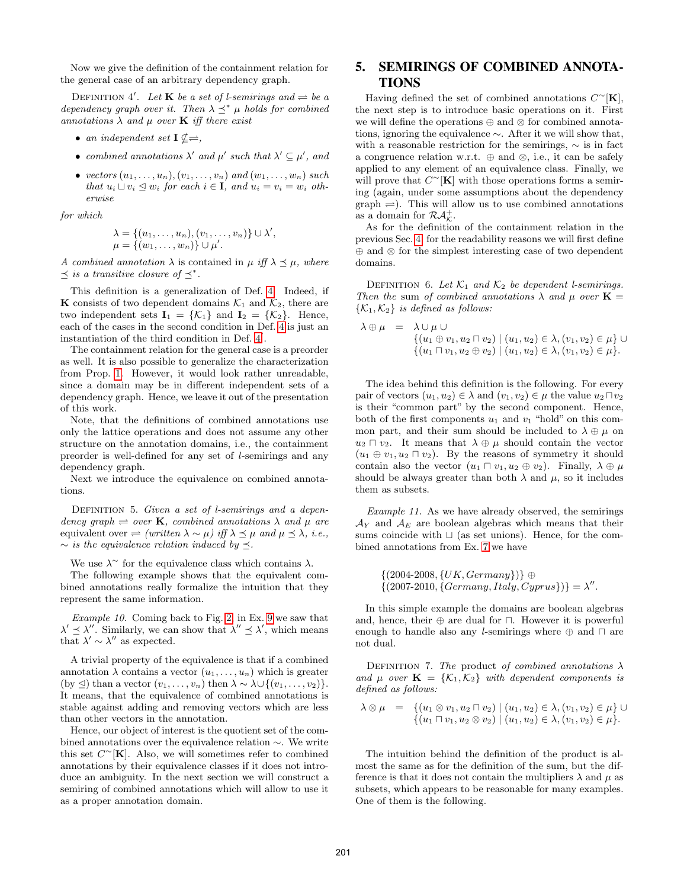Now we give the definition of the containment relation for the general case of an arbitrary dependency graph.

DEFINITION 4'. Let **K** be a set of l-semirings and  $\rightleftharpoons$  be a dependency graph over it. Then  $\lambda \preceq^* \mu$  holds for combined annotations  $\lambda$  and  $\mu$  over **K** iff there exist

- an independent set  $I \not\subseteq \Rightarrow$ ,
- combined annotations  $\lambda'$  and  $\mu'$  such that  $\lambda' \subseteq \mu'$ , and
- vectors  $(u_1, \ldots, u_n), (v_1, \ldots, v_n)$  and  $(w_1, \ldots, w_n)$  such that  $u_i \sqcup v_i \trianglelefteq w_i$  for each  $i \in \mathbf{I}$ , and  $u_i = v_i = w_i$  otherwise

for which

$$
\lambda = \{(u_1, \ldots, u_n), (v_1, \ldots, v_n)\} \cup \lambda',
$$
  

$$
\mu = \{(w_1, \ldots, w_n)\} \cup \mu'.
$$

A combined annotation  $\lambda$  is contained in  $\mu$  iff  $\lambda \preceq \mu$ , where  $\preceq$  is a transitive closure of  $\preceq^*$ .

This definition is a generalization of Def. 4. Indeed, if **K** consists of two dependent domains  $\mathcal{K}_1$  and  $\mathcal{K}_2$ , there are two independent sets  $I_1 = \{K_1\}$  and  $I_2 = \{K_2\}$ . Hence, each of the cases in the second condition in Def. 4 is just an instantiation of the third condition in Def.  $4'$ .

The containment relation for the general case is a preorder as well. It is also possible to generalize the characterization from Prop. 1. However, it would look rather unreadable, since a domain may be in different independent sets of a dependency graph. Hence, we leave it out of the presentation of this work.

Note, that the definitions of combined annotations use only the lattice operations and does not assume any other structure on the annotation domains, i.e., the containment preorder is well-defined for any set of l-semirings and any dependency graph.

Next we introduce the equivalence on combined annotations.

DEFINITION 5. Given a set of l-semirings and a dependency graph  $\Rightarrow$  over **K**, combined annotations  $\lambda$  and  $\mu$  are equivalent over  $\Rightarrow$  (written  $\lambda \sim \mu$ ) iff  $\lambda \preceq \mu$  and  $\mu \preceq \lambda$ , i.e.,  $\sim$  is the equivalence relation induced by  $\prec$ .

We use  $\lambda^{\sim}$  for the equivalence class which contains  $\lambda$ .

The following example shows that the equivalent combined annotations really formalize the intuition that they represent the same information.

Example 10. Coming back to Fig. 2, in Ex. 9 we saw that  $\lambda' \leq \lambda''$ . Similarly, we can show that  $\lambda'' \leq \lambda'$ , which means that  $\lambda' \sim \lambda''$  as expected.

A trivial property of the equivalence is that if a combined annotation  $\lambda$  contains a vector  $(u_1, \ldots, u_n)$  which is greater (by  $\leq$ ) than a vector  $(v_1, \ldots, v_n)$  then  $\lambda \sim \lambda \cup \{(v_1, \ldots, v_2)\}.$ It means, that the equivalence of combined annotations is stable against adding and removing vectors which are less than other vectors in the annotation.

Hence, our object of interest is the quotient set of the combined annotations over the equivalence relation ∼. We write this set  $C^{\sim}[\mathbf{K}]$ . Also, we will sometimes refer to combined annotations by their equivalence classes if it does not introduce an ambiguity. In the next section we will construct a semiring of combined annotations which will allow to use it as a proper annotation domain.

# 5. SEMIRINGS OF COMBINED ANNOTA-TIONS

Having defined the set of combined annotations  $C^{\sim}[\mathbf{K}],$ the next step is to introduce basic operations on it. First we will define the operations ⊕ and ⊗ for combined annotations, ignoring the equivalence  $\sim$ . After it we will show that, with a reasonable restriction for the semirings,  $\sim$  is in fact a congruence relation w.r.t. ⊕ and ⊗, i.e., it can be safely applied to any element of an equivalence class. Finally, we will prove that  $C^{\sim}[\mathbf{K}]$  with those operations forms a semiring (again, under some assumptions about the dependency  $graph \rightleftharpoons$ ). This will allow us to use combined annotations as a domain for  $\mathcal{RA}_{\mathcal{K}}^+$ .

As for the definition of the containment relation in the previous Sec. 4, for the readability reasons we will first define ⊕ and ⊗ for the simplest interesting case of two dependent domains.

DEFINITION 6. Let  $\mathcal{K}_1$  and  $\mathcal{K}_2$  be dependent l-semirings. Then the sum of combined annotations  $\lambda$  and  $\mu$  over  $\mathbf{K} =$  $\{K_1, K_2\}$  is defined as follows:

$$
\lambda \oplus \mu = \lambda \cup \mu \cup \n\{(u_1 \oplus v_1, u_2 \sqcap v_2) \mid (u_1, u_2) \in \lambda, (v_1, v_2) \in \mu\} \cup \n\{(u_1 \sqcap v_1, u_2 \oplus v_2) \mid (u_1, u_2) \in \lambda, (v_1, v_2) \in \mu\}.
$$

The idea behind this definition is the following. For every pair of vectors  $(u_1, u_2) \in \lambda$  and  $(v_1, v_2) \in \mu$  the value  $u_2 \sqcap v_2$ is their "common part" by the second component. Hence, both of the first components  $u_1$  and  $v_1$  "hold" on this common part, and their sum should be included to  $\lambda \oplus \mu$  on  $u_2 \sqcap v_2$ . It means that  $\lambda \oplus \mu$  should contain the vector  $(u_1 \oplus v_1, u_2 \sqcap v_2)$ . By the reasons of symmetry it should contain also the vector  $(u_1 \sqcap v_1, u_2 \oplus v_2)$ . Finally,  $\lambda \oplus \mu$ should be always greater than both  $\lambda$  and  $\mu$ , so it includes them as subsets.

Example 11. As we have already observed, the semirings  $A_Y$  and  $A_E$  are boolean algebras which means that their sums coincide with  $\sqcup$  (as set unions). Hence, for the combined annotations from Ex. 7 we have

 $\{(2004-2008, \{UK, Germany\})\}\oplus$  $\{(2007-2010, \{Germany, Italy, Cyprus\})\} = \lambda''$ .

In this simple example the domains are boolean algebras and, hence, their  $\oplus$  are dual for  $\Box$ . However it is powerful enough to handle also any l-semirings where  $\oplus$  and  $\Box$  are not dual.

DEFINITION 7. The product of combined annotations  $\lambda$ and  $\mu$  over  $\mathbf{K} = \{K_1, K_2\}$  with dependent components is defined as follows:

$$
\lambda \otimes \mu = \{ (u_1 \otimes v_1, u_2 \sqcap v_2) \mid (u_1, u_2) \in \lambda, (v_1, v_2) \in \mu \} \cup \n\{(u_1 \sqcap v_1, u_2 \otimes v_2) \mid (u_1, u_2) \in \lambda, (v_1, v_2) \in \mu \}.
$$

The intuition behind the definition of the product is almost the same as for the definition of the sum, but the difference is that it does not contain the multipliers  $\lambda$  and  $\mu$  as subsets, which appears to be reasonable for many examples. One of them is the following.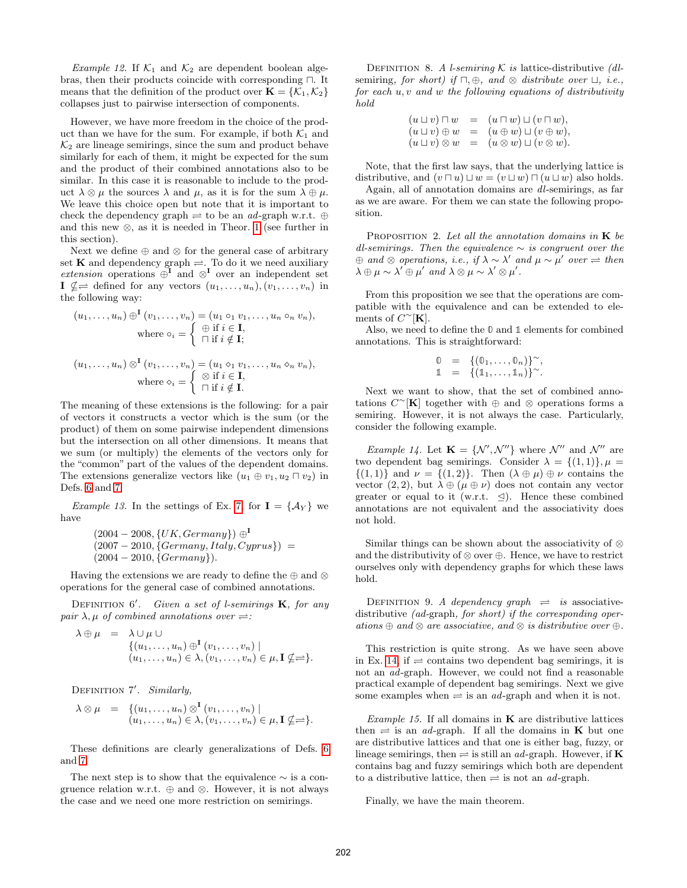Example 12. If  $K_1$  and  $K_2$  are dependent boolean algebras, then their products coincide with corresponding  $\Box$ . It means that the definition of the product over  $\mathbf{K} = \{K_1, K_2\}$ collapses just to pairwise intersection of components.

However, we have more freedom in the choice of the product than we have for the sum. For example, if both  $\mathcal{K}_1$  and  $\mathcal{K}_2$  are lineage semirings, since the sum and product behave similarly for each of them, it might be expected for the sum and the product of their combined annotations also to be similar. In this case it is reasonable to include to the product  $\lambda \otimes \mu$  the sources  $\lambda$  and  $\mu$ , as it is for the sum  $\lambda \oplus \mu$ . We leave this choice open but note that it is important to check the dependency graph  $\rightleftharpoons$  to be an ad-graph w.r.t.  $\oplus$ and this new ⊗, as it is needed in Theor. 1 (see further in this section).

Next we define ⊕ and ⊗ for the general case of arbitrary set **K** and dependency graph  $\rightleftharpoons$ . To do it we need auxiliary extension operations  $\oplus^{\mathbf{I}}$  and  $\otimes^{\mathbf{I}}$  over an independent set  $\mathbf{I} \nsubseteq \text{ defined for any vectors } (u_1, \ldots, u_n), (v_1, \ldots, v_n)$  in the following way:

$$
(u_1, \ldots, u_n) \oplus^{\mathbf{I}} (v_1, \ldots, v_n) = (u_1 \circ_1 v_1, \ldots, u_n \circ_n v_n),
$$
  
where  $\circ_i = \begin{cases} \oplus \text{if } i \in \mathbf{I}, \\ \Box \text{ if } i \notin \mathbf{I}; \end{cases}$   
 $(u_1, \ldots, u_n) \otimes^{\mathbf{I}} (v_1, \ldots, v_n) = (u_1 \circ_1 v_1, \ldots, u_n \circ_n v_n),$   
where  $\circ_i = \begin{cases} \otimes \text{if } i \in \mathbf{I}, \\ \Box \text{ if } i \notin \mathbf{I}. \end{cases}$ 

The meaning of these extensions is the following: for a pair of vectors it constructs a vector which is the sum (or the product) of them on some pairwise independent dimensions but the intersection on all other dimensions. It means that we sum (or multiply) the elements of the vectors only for the "common" part of the values of the dependent domains. The extensions generalize vectors like  $(u_1 \oplus v_1, u_2 \sqcap v_2)$  in Defs. 6 and 7.

*Example 13.* In the settings of Ex. 7, for  $I = \{A_Y\}$  we have

$$
(2004 - 2008, \{UK, Germany\}) \oplus
$$
<sup>I</sup>  
 $(2007 - 2010, \{Germany, Italy, Cyprus\}) =$   
 $(2004 - 2010, \{Germany\}).$ 

Having the extensions we are ready to define the  $\oplus$  and  $\otimes$ operations for the general case of combined annotations.

DEFINITION  $6'$ . Given a set of l-semirings  $\mathbf{K}$ , for any pair  $\lambda, \mu$  of combined annotations over  $\rightleftharpoons$ :

$$
\lambda \oplus \mu = \lambda \cup \mu \cup
$$
  
\n
$$
\{(u_1, \ldots, u_n) \oplus^{\mathbf{I}} (v_1, \ldots, v_n) \mid
$$
  
\n
$$
(u_1, \ldots, u_n) \in \lambda, (v_1, \ldots, v_n) \in \mu, \mathbf{I} \nsubseteq \doteq \}.
$$

DEFINITION 7'. Similarly,

$$
\lambda \otimes \mu = \{ (u_1, \ldots, u_n) \otimes^{\mathbf{I}} (v_1, \ldots, v_n) \mid (u_1, \ldots, u_n) \in \lambda, (v_1, \ldots, v_n) \in \mu, \mathbf{I} \nsubseteq \right).
$$

These definitions are clearly generalizations of Defs. 6 and 7.

The next step is to show that the equivalence  $\sim$  is a congruence relation w.r.t.  $\oplus$  and  $\otimes$ . However, it is not always the case and we need one more restriction on semirings.

DEFINITION 8. A *l-semiring*  $K$  *is* lattice-distributive (dlsemiring, for short) if  $\Box, \oplus, \text{ and } \otimes \text{ distribute over } \sqcup, \text{ i.e.,}$ for each  $u, v$  and  $w$  the following equations of distributivity hold

$$
(u \sqcup v) \sqcap w = (u \sqcap w) \sqcup (v \sqcap w),(u \sqcup v) \oplus w = (u \oplus w) \sqcup (v \oplus w),(u \sqcup v) \otimes w = (u \otimes w) \sqcup (v \otimes w).
$$

Note, that the first law says, that the underlying lattice is distributive, and  $(v \sqcap u) \sqcup w = (v \sqcup w) \sqcap (u \sqcup w)$  also holds.

Again, all of annotation domains are dl-semirings, as far as we are aware. For them we can state the following proposition.

PROPOSITION 2. Let all the annotation domains in  $K$  be dl-semirings. Then the equivalence  $\sim$  is congruent over the  $\oplus$  and  $\otimes$  operations, i.e., if  $\lambda \sim \lambda'$  and  $\mu \sim \mu'$  over  $\rightleftharpoons$  then  $\lambda \oplus \mu \sim \lambda' \oplus \mu'$  and  $\lambda \otimes \mu \sim \lambda' \otimes \mu'$ .

From this proposition we see that the operations are compatible with the equivalence and can be extended to elements of  $C^{\sim}[\mathbf{K}].$ 

Also, we need to define the **0** and **1** elements for combined annotations. This is straightforward:

$$
\begin{array}{rcl}\n0 & = & \{(\mathbb{0}_1, \ldots, \mathbb{0}_n)\}^{\sim}, \\
1 & = & \{(\mathbb{1}_1, \ldots, \mathbb{1}_n)\}^{\sim}.\n\end{array}
$$

Next we want to show, that the set of combined annotations  $C^{\sim}[\mathbf{K}]$  together with  $\oplus$  and  $\otimes$  operations forms a semiring. However, it is not always the case. Particularly, consider the following example.

*Example 14.* Let  $\mathbf{K} = \{ \mathcal{N}', \mathcal{N}'' \}$  where  $\mathcal{N}''$  and  $\mathcal{N}''$  are two dependent bag semirings. Consider  $\lambda = \{(1,1)\}\,$ ,  $\mu =$  $\{(1,1)\}\$ and  $\nu = \{(1,2)\}\$ . Then  $(\lambda \oplus \mu) \oplus \nu$  contains the vector  $(2, 2)$ , but  $\lambda \oplus (\mu \oplus \nu)$  does not contain any vector greater or equal to it (w.r.t.  $\leq$ ). Hence these combined annotations are not equivalent and the associativity does not hold.

Similar things can be shown about the associativity of  $\otimes$ and the distributivity of ⊗ over ⊕. Hence, we have to restrict ourselves only with dependency graphs for which these laws hold.

DEFINITION 9. A dependency graph  $\implies$  is associativedistributive (ad-graph, for short) if the corresponding operations  $\oplus$  and  $\otimes$  are associative, and  $\otimes$  is distributive over  $\oplus$ .

This restriction is quite strong. As we have seen above in Ex. 14, if  $\rightleftharpoons$  contains two dependent bag semirings, it is not an ad-graph. However, we could not find a reasonable practical example of dependent bag semirings. Next we give some examples when  $\rightleftharpoons$  is an *ad*-graph and when it is not.

*Example 15.* If all domains in  $\bf{K}$  are distributive lattices then  $\rightleftharpoons$  is an *ad*-graph. If all the domains in **K** but one are distributive lattices and that one is either bag, fuzzy, or lineage semirings, then  $\rightleftharpoons$  is still an ad-graph. However, if **K** contains bag and fuzzy semirings which both are dependent to a distributive lattice, then  $\rightleftharpoons$  is not an *ad*-graph.

Finally, we have the main theorem.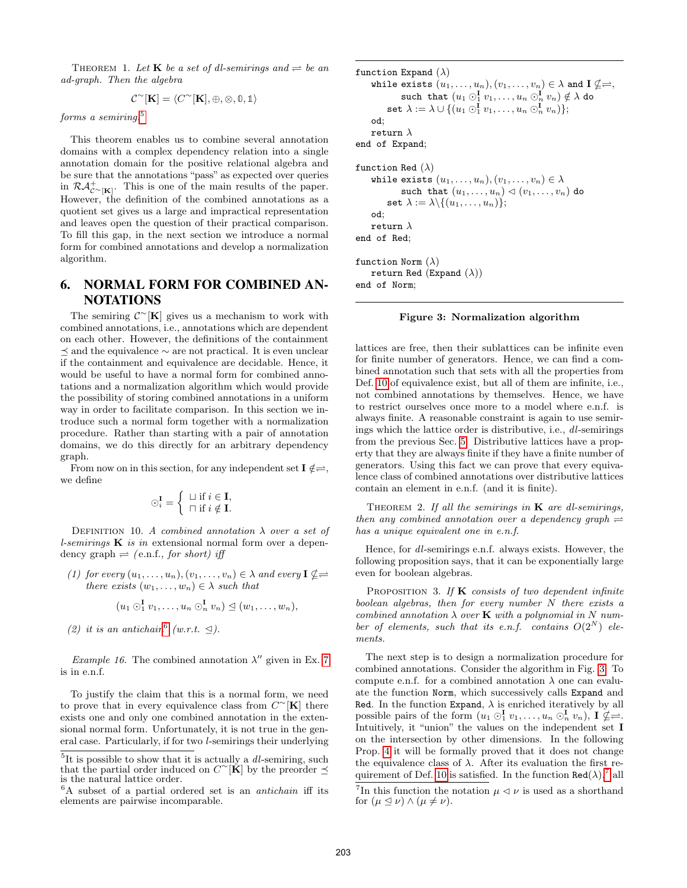THEOREM 1. Let **K** be a set of dl-semirings and  $\rightleftharpoons$  be an ad-graph. Then the algebra

$$
\mathcal{C}^\sim[\mathbf{K}]=\langle C^\sim[\mathbf{K}],\oplus,\otimes,\mathbb{0},\mathbb{1}\rangle
$$

forms a semiring.<sup>5</sup>

This theorem enables us to combine several annotation domains with a complex dependency relation into a single annotation domain for the positive relational algebra and be sure that the annotations "pass" as expected over queries in  $\mathcal{R} \mathcal{A}_{\mathcal{C}^\sim[\mathbf{K}]}^+$ . This is one of the main results of the paper. However, the definition of the combined annotations as a quotient set gives us a large and impractical representation and leaves open the question of their practical comparison. To fill this gap, in the next section we introduce a normal form for combined annotations and develop a normalization algorithm.

# 6. NORMAL FORM FOR COMBINED AN-NOTATIONS

The semiring  $\mathcal{C}^{\sim}[\mathbf{K}]$  gives us a mechanism to work with combined annotations, i.e., annotations which are dependent on each other. However, the definitions of the containment and the equivalence ∼ are not practical. It is even unclear if the containment and equivalence are decidable. Hence, it would be useful to have a normal form for combined annotations and a normalization algorithm which would provide the possibility of storing combined annotations in a uniform way in order to facilitate comparison. In this section we introduce such a normal form together with a normalization procedure. Rather than starting with a pair of annotation domains, we do this directly for an arbitrary dependency graph.

From now on in this section, for any independent set  $I \notin \rightleftharpoons$ , we define

$$
\bigcirc_i^{\mathbf{I}} = \left\{ \begin{array}{c} \sqcup \text{ if } i \in \mathbf{I}, \\ \sqcap \text{ if } i \notin \mathbf{I}. \end{array} \right.
$$

DEFINITION 10. A combined annotation  $\lambda$  over a set of l-semirings  $\bf{K}$  is in extensional normal form over a dependency graph  $\rightleftharpoons$  (e.n.f., for short) iff

(1) for every  $(u_1, \ldots, u_n), (v_1, \ldots, v_n) \in \lambda$  and every  $\mathbf{I} \not\subseteq \Rightarrow$ there exists  $(w_1, \ldots, w_n) \in \lambda$  such that

$$
(u_1 \odot_1^{\mathbf{I}} v_1, \ldots, u_n \odot_n^{\mathbf{I}} v_n) \leq (w_1, \ldots, w_n),
$$

(2) it is an antichain<sup>6</sup> (w.r.t.  $\trianglelefteq$ ).

*Example 16.* The combined annotation  $\lambda''$  given in Ex. 7 is in e.n.f.

To justify the claim that this is a normal form, we need to prove that in every equivalence class from  $C^{\sim}[\mathbf{K}]$  there exists one and only one combined annotation in the extensional normal form. Unfortunately, it is not true in the general case. Particularly, if for two l-semirings their underlying

```
function Expand (\lambda)while exists (u_1,\ldots,u_n), (v_1,\ldots,v_n)\in \lambda and \mathbf{I}\nsubseteq\rightleftharpoons,such that (u_1\odot_1^{\mathbf{I}} v_1,\ldots,u_n\odot_n^{\mathbf{I}} v_n)\notin\lambda do
            \texttt{set}~\lambda := \lambda \cup \{(u_1 \odot_1^\mathbf{I} v_1, \ldots, u_n \odot_n^\mathbf{I} v_n)\};od;
     return \lambdaend of Expand;
function Red (\lambda)while exists (u_1, \ldots, u_n), (v_1, \ldots, v_n) \in \lambdasuch that (u_1, \ldots, u_n) \lhd (v_1, \ldots, v_n) do
           set \lambda := \lambda \setminus \{(u_1, \ldots, u_n)\};od;
     return \lambdaend of Red;
function Norm (\lambda)return Red (Expand (\lambda))
end of Norm;
```
#### Figure 3: Normalization algorithm

lattices are free, then their sublattices can be infinite even for finite number of generators. Hence, we can find a combined annotation such that sets with all the properties from Def. 10 of equivalence exist, but all of them are infinite, i.e., not combined annotations by themselves. Hence, we have to restrict ourselves once more to a model where e.n.f. is always finite. A reasonable constraint is again to use semirings which the lattice order is distributive, i.e., dl-semirings from the previous Sec. 5. Distributive lattices have a property that they are always finite if they have a finite number of generators. Using this fact we can prove that every equivalence class of combined annotations over distributive lattices contain an element in e.n.f. (and it is finite).

THEOREM 2. If all the semirings in  $K$  are dl-semirings, then any combined annotation over a dependency graph  $\rightleftharpoons$ has a unique equivalent one in e.n.f.

Hence, for dl-semirings e.n.f. always exists. However, the following proposition says, that it can be exponentially large even for boolean algebras.

PROPOSITION 3. If  $\bf{K}$  consists of two dependent infinite boolean algebras, then for every number N there exists a combined annotation  $\lambda$  over **K** with a polynomial in N number of elements, such that its e.n.f. contains  $O(2^N)$  elements.

The next step is to design a normalization procedure for combined annotations. Consider the algorithm in Fig. 3. To compute e.n.f. for a combined annotation  $\lambda$  one can evaluate the function Norm, which successively calls Expand and Red. In the function Expand,  $\lambda$  is enriched iteratively by all possible pairs of the form  $(u_1 \odot_1^{\mathbf{I}} v_1, \ldots, u_n \odot_n^{\mathbf{I}} v_n)$ ,  $\mathbf{I} \nsubseteq \right)$ Intuitively, it "union" the values on the independent set I on the intersection by other dimensions. In the following Prop. 4 it will be formally proved that it does not change the equivalence class of  $\lambda$ . After its evaluation the first requirement of Def. 10 is satisfied. In the function  $\text{Red}(\lambda)$ ,<sup>7</sup> all

 ${}^{5}$ It is possible to show that it is actually a *dl*-semiring, such that the partial order induced on  $C^{\sim}[\check{\mathbf{K}}]$  by the preorder  $\preceq$ is the natural lattice order.

 ${}^6A$  subset of a partial ordered set is an *antichain* iff its elements are pairwise incomparable.

<sup>&</sup>lt;sup>7</sup>In this function the notation  $\mu \leq \nu$  is used as a shorthand for  $(\mu \leq \nu) \wedge (\mu \neq \nu)$ .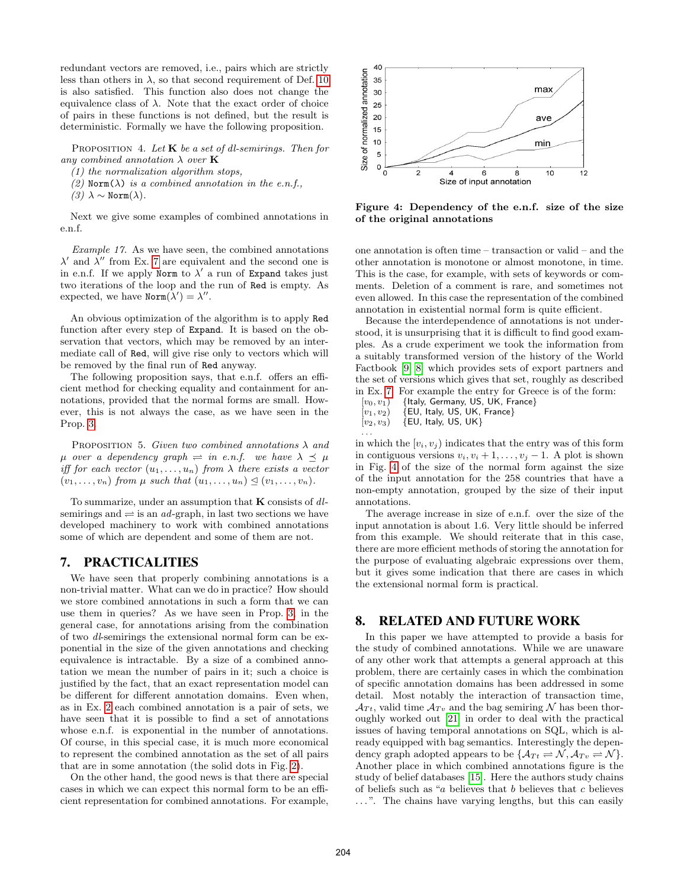redundant vectors are removed, i.e., pairs which are strictly less than others in  $\lambda$ , so that second requirement of Def. 10 is also satisfied. This function also does not change the equivalence class of  $\lambda$ . Note that the exact order of choice of pairs in these functions is not defined, but the result is deterministic. Formally we have the following proposition.

PROPOSITION 4. Let  $\bf{K}$  be a set of dl-semirings. Then for any combined annotation  $\lambda$  over  $\bf{K}$ 

- (1) the normalization algorithm stops,
- (2) Norm( $\lambda$ ) is a combined annotation in the e.n.f.,

(3)  $\lambda$  ∼ Norm( $\lambda$ ).

Next we give some examples of combined annotations in e.n.f.

Example 17. As we have seen, the combined annotations  $\lambda'$  and  $\lambda''$  from Ex. 7 are equivalent and the second one is in e.n.f. If we apply Norm to  $\lambda'$  a run of Expand takes just two iterations of the loop and the run of Red is empty. As expected, we have  $\text{Norm}(\lambda') = \lambda''$ .

An obvious optimization of the algorithm is to apply Red function after every step of Expand. It is based on the observation that vectors, which may be removed by an intermediate call of Red, will give rise only to vectors which will be removed by the final run of Red anyway.

The following proposition says, that e.n.f. offers an efficient method for checking equality and containment for annotations, provided that the normal forms are small. However, this is not always the case, as we have seen in the Prop. 3.

PROPOSITION 5. Given two combined annotations  $\lambda$  and  $\mu$  over a dependency graph  $\Rightarrow$  in e.n.f. we have  $\lambda \preceq \mu$ iff for each vector  $(u_1, \ldots, u_n)$  from  $\lambda$  there exists a vector  $(v_1, \ldots, v_n)$  from  $\mu$  such that  $(u_1, \ldots, u_n) \leq (v_1, \ldots, v_n)$ .

To summarize, under an assumption that  $\bf{K}$  consists of dlsemirings and  $\rightleftharpoons$  is an *ad*-graph, in last two sections we have developed machinery to work with combined annotations some of which are dependent and some of them are not.

# 7. PRACTICALITIES

We have seen that properly combining annotations is a non-trivial matter. What can we do in practice? How should we store combined annotations in such a form that we can use them in queries? As we have seen in Prop. 3, in the general case, for annotations arising from the combination of two dl-semirings the extensional normal form can be exponential in the size of the given annotations and checking equivalence is intractable. By a size of a combined annotation we mean the number of pairs in it; such a choice is justified by the fact, that an exact representation model can be different for different annotation domains. Even when, as in Ex. 2 each combined annotation is a pair of sets, we have seen that it is possible to find a set of annotations whose e.n.f. is exponential in the number of annotations. Of course, in this special case, it is much more economical to represent the combined annotation as the set of all pairs that are in some annotation (the solid dots in Fig. 2).

On the other hand, the good news is that there are special cases in which we can expect this normal form to be an efficient representation for combined annotations. For example,



Figure 4: Dependency of the e.n.f. size of the size of the original annotations

one annotation is often time – transaction or valid – and the other annotation is monotone or almost monotone, in time. This is the case, for example, with sets of keywords or comments. Deletion of a comment is rare, and sometimes not even allowed. In this case the representation of the combined annotation in existential normal form is quite efficient.

Because the interdependence of annotations is not understood, it is unsurprising that it is difficult to find good examples. As a crude experiment we took the information from a suitably transformed version of the history of the World Factbook [9, 8] which provides sets of export partners and the set of versions which gives that set, roughly as described in Ex. 7. For example the entry for Greece is of the form:

- $[v_0, v_1)$  {Italy, Germany, US, UK, France}
- $[v_1, v_2]$  {EU, Italy, US, UK, France}

. . .

in which the  $[v_i, v_j]$  indicates that the entry was of this form in contiguous versions  $v_i, v_i + 1, \ldots, v_j - 1$ . A plot is shown in Fig. 4 of the size of the normal form against the size of the input annotation for the 258 countries that have a non-empty annotation, grouped by the size of their input annotations.

The average increase in size of e.n.f. over the size of the input annotation is about 1.6. Very little should be inferred from this example. We should reiterate that in this case, there are more efficient methods of storing the annotation for the purpose of evaluating algebraic expressions over them, but it gives some indication that there are cases in which the extensional normal form is practical.

# 8. RELATED AND FUTURE WORK

In this paper we have attempted to provide a basis for the study of combined annotations. While we are unaware of any other work that attempts a general approach at this problem, there are certainly cases in which the combination of specific annotation domains has been addressed in some detail. Most notably the interaction of transaction time,  $\mathcal{A}_{Tt}$ , valid time  $\mathcal{A}_{Tv}$  and the bag semiring N has been thoroughly worked out [21] in order to deal with the practical issues of having temporal annotations on SQL, which is already equipped with bag semantics. Interestingly the dependency graph adopted appears to be  $\{A_{Tt} = \overline{N}, A_{Tv} = \overline{N}\}.$ Another place in which combined annotations figure is the study of belief databases [15]. Here the authors study chains of beliefs such as "a believes that  $b$  believes that  $c$  believes ...". The chains have varying lengths, but this can easily

 $[v_2, v_3]$  {EU, Italy, US, UK}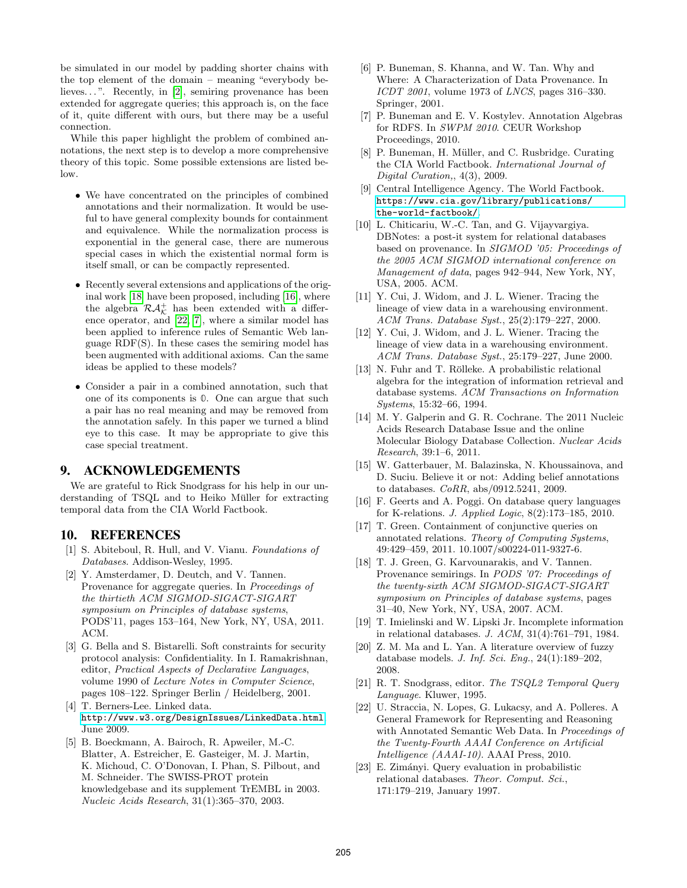be simulated in our model by padding shorter chains with the top element of the domain – meaning "everybody believes...". Recently, in [2], semiring provenance has been extended for aggregate queries; this approach is, on the face of it, quite different with ours, but there may be a useful connection.

While this paper highlight the problem of combined annotations, the next step is to develop a more comprehensive theory of this topic. Some possible extensions are listed below.

- We have concentrated on the principles of combined annotations and their normalization. It would be useful to have general complexity bounds for containment and equivalence. While the normalization process is exponential in the general case, there are numerous special cases in which the existential normal form is itself small, or can be compactly represented.
- Recently several extensions and applications of the original work [18] have been proposed, including [16], where the algebra  $\mathcal{RA}_{\mathcal{K}}^+$  has been extended with a difference operator, and [22, 7], where a similar model has been applied to inference rules of Semantic Web language RDF(S). In these cases the semiring model has been augmented with additional axioms. Can the same ideas be applied to these models?
- Consider a pair in a combined annotation, such that one of its components is **0**. One can argue that such a pair has no real meaning and may be removed from the annotation safely. In this paper we turned a blind eye to this case. It may be appropriate to give this case special treatment.

# 9. ACKNOWLEDGEMENTS

We are grateful to Rick Snodgrass for his help in our understanding of TSQL and to Heiko Müller for extracting temporal data from the CIA World Factbook.

## 10. REFERENCES

- [1] S. Abiteboul, R. Hull, and V. Vianu. Foundations of Databases. Addison-Wesley, 1995.
- [2] Y. Amsterdamer, D. Deutch, and V. Tannen. Provenance for aggregate queries. In *Proceedings of* the thirtieth ACM SIGMOD-SIGACT-SIGART symposium on Principles of database systems, PODS'11, pages 153–164, New York, NY, USA, 2011. ACM.
- [3] G. Bella and S. Bistarelli. Soft constraints for security protocol analysis: Confidentiality. In I. Ramakrishnan, editor, Practical Aspects of Declarative Languages, volume 1990 of Lecture Notes in Computer Science, pages 108–122. Springer Berlin / Heidelberg, 2001.
- [4] T. Berners-Lee. Linked data. <http://www.w3.org/DesignIssues/LinkedData.html>, June 2009.
- [5] B. Boeckmann, A. Bairoch, R. Apweiler, M.-C. Blatter, A. Estreicher, E. Gasteiger, M. J. Martin, K. Michoud, C. O'Donovan, I. Phan, S. Pilbout, and M. Schneider. The SWISS-PROT protein knowledgebase and its supplement TrEMBL in 2003. Nucleic Acids Research, 31(1):365–370, 2003.
- [6] P. Buneman, S. Khanna, and W. Tan. Why and Where: A Characterization of Data Provenance. In ICDT 2001, volume 1973 of LNCS, pages 316–330. Springer, 2001.
- [7] P. Buneman and E. V. Kostylev. Annotation Algebras for RDFS. In SWPM 2010. CEUR Workshop Proceedings, 2010.
- [8] P. Buneman, H. Müller, and C. Rusbridge. Curating the CIA World Factbook. International Journal of Digital Curation,, 4(3), 2009.
- [9] Central Intelligence Agency. The World Factbook. [https://www.cia.gov/library/publications/](https://www.cia.gov/library/publications/the-world-factbook/) [the-world-factbook/](https://www.cia.gov/library/publications/the-world-factbook/).
- [10] L. Chiticariu, W.-C. Tan, and G. Vijayvargiya. DBNotes: a post-it system for relational databases based on provenance. In SIGMOD '05: Proceedings of the 2005 ACM SIGMOD international conference on Management of data, pages 942–944, New York, NY, USA, 2005. ACM.
- [11] Y. Cui, J. Widom, and J. L. Wiener. Tracing the lineage of view data in a warehousing environment. ACM Trans. Database Syst., 25(2):179–227, 2000.
- [12] Y. Cui, J. Widom, and J. L. Wiener. Tracing the lineage of view data in a warehousing environment. ACM Trans. Database Syst., 25:179–227, June 2000.
- [13] N. Fuhr and T. Rölleke. A probabilistic relational algebra for the integration of information retrieval and database systems. ACM Transactions on Information Systems, 15:32–66, 1994.
- [14] M. Y. Galperin and G. R. Cochrane. The 2011 Nucleic Acids Research Database Issue and the online Molecular Biology Database Collection. Nuclear Acids Research, 39:1–6, 2011.
- [15] W. Gatterbauer, M. Balazinska, N. Khoussainova, and D. Suciu. Believe it or not: Adding belief annotations to databases. CoRR, abs/0912.5241, 2009.
- [16] F. Geerts and A. Poggi. On database query languages for K-relations. J. Applied Logic, 8(2):173–185, 2010.
- [17] T. Green. Containment of conjunctive queries on annotated relations. Theory of Computing Systems, 49:429–459, 2011. 10.1007/s00224-011-9327-6.
- [18] T. J. Green, G. Karvounarakis, and V. Tannen. Provenance semirings. In *PODS '07: Proceedings of* the twenty-sixth ACM SIGMOD-SIGACT-SIGART symposium on Principles of database systems, pages 31–40, New York, NY, USA, 2007. ACM.
- [19] T. Imielinski and W. Lipski Jr. Incomplete information in relational databases. J. ACM, 31(4):761–791, 1984.
- [20] Z. M. Ma and L. Yan. A literature overview of fuzzy database models. J. Inf. Sci. Eng., 24(1):189–202, 2008.
- [21] R. T. Snodgrass, editor. The TSQL2 Temporal Query Language. Kluwer, 1995.
- [22] U. Straccia, N. Lopes, G. Lukacsy, and A. Polleres. A General Framework for Representing and Reasoning with Annotated Semantic Web Data. In Proceedings of the Twenty-Fourth AAAI Conference on Artificial Intelligence (AAAI-10). AAAI Press, 2010.
- [23] E. Zimányi. Query evaluation in probabilistic relational databases. Theor. Comput. Sci., 171:179–219, January 1997.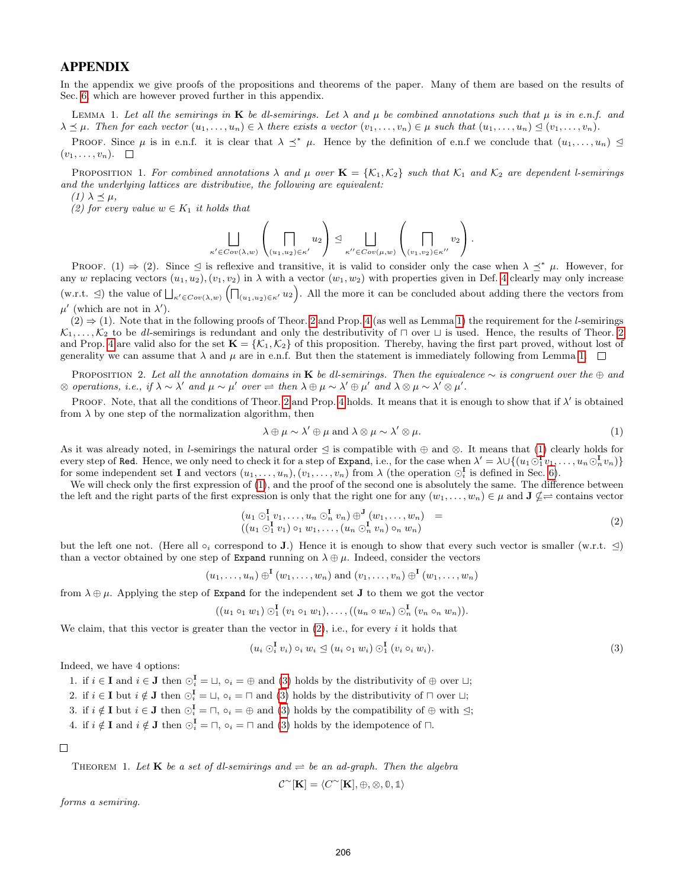## APPENDIX

In the appendix we give proofs of the propositions and theorems of the paper. Many of them are based on the results of Sec. 6, which are however proved further in this appendix.

LEMMA 1. Let all the semirings in **K** be dl-semirings. Let  $\lambda$  and  $\mu$  be combined annotations such that  $\mu$  is in e.n.f. and  $\lambda \preceq \mu$ . Then for each vector  $(u_1, \ldots, u_n) \in \lambda$  there exists a vector  $(v_1, \ldots, v_n) \in \mu$  such that  $(u_1, \ldots, u_n) \preceq (v_1, \ldots, v_n)$ .

PROOF. Since  $\mu$  is in e.n.f. it is clear that  $\lambda \preceq^* \mu$ . Hence by the definition of e.n.f we conclude that  $(u_1, \ldots, u_n) \preceq$  $(v_1, \ldots, v_n). \quad \Box$ 

PROPOSITION 1. For combined annotations  $\lambda$  and  $\mu$  over  $\mathbf{K} = \{K_1, K_2\}$  such that  $K_1$  and  $K_2$  are dependent l-semirings and the underlying lattices are distributive, the following are equivalent:

(1)  $\lambda \preceq \mu$ ,

(2) for every value  $w \in K_1$  it holds that

$$
\bigsqcup_{\kappa'\in Cov(\lambda,w)}\left(\bigcap_{(u_1,u_2)\in\kappa'} u_2\right)\trianglelefteq \bigsqcup_{\kappa''\in Cov(\mu,w)}\left(\bigcap_{(v_1,v_2)\in\kappa''} v_2\right).
$$

PROOF. (1)  $\Rightarrow$  (2). Since  $\leq$  is reflexive and transitive, it is valid to consider only the case when  $\lambda \leq^* \mu$ . However, for any w replacing vectors  $(u_1, u_2), (v_1, v_2)$  in  $\lambda$  with a vector  $(w_1, w_2)$  with properties given in Def. 4 clearly may only increase (w.r.t.  $\leq$ ) the value of  $\bigsqcup_{\kappa' \in Cov(\lambda,w)} (\bigcap_{(u_1,u_2)\in \kappa'} u_2)$ . All the more it can be concluded about adding there the vectors from  $\mu'$  (which are not in  $\lambda'$ ).

 $(2) \Rightarrow (1)$ . Note that in the following proofs of Theor. 2 and Prop. 4 (as well as Lemma 1) the requirement for the l-semirings  $\mathcal{K}_1, \ldots, \mathcal{K}_2$  to be dl-semirings is redundant and only the destributivity of  $\Box$  over  $\Box$  is used. Hence, the results of Theor. 2 and Prop. 4 are valid also for the set  $\mathbf{K} = \{K_1, K_2\}$  of this proposition. Thereby, having the first part proved, without lost of generality we can assume that  $\lambda$  and  $\mu$  are in e.n.f. But then the statement is immediately following from Lemma 1.  $\square$ 

PROPOSITION 2. Let all the annotation domains in K be dl-semirings. Then the equivalence ∼ is congruent over the ⊕ and  $\otimes$  operations, i.e., if  $\lambda \sim \lambda'$  and  $\mu \sim \mu'$  over  $\rightleftharpoons$  then  $\lambda \oplus \mu \sim \lambda' \oplus \mu'$  and  $\lambda \otimes \mu \sim \lambda' \otimes \mu'$ .

PROOF. Note, that all the conditions of Theor. 2 and Prop. 4 holds. It means that it is enough to show that if  $\lambda'$  is obtained from  $\lambda$  by one step of the normalization algorithm, then

$$
\lambda \oplus \mu \sim \lambda' \oplus \mu \text{ and } \lambda \otimes \mu \sim \lambda' \otimes \mu. \tag{1}
$$

As it was already noted, in l-semirings the natural order  $\leq$  is compatible with  $\oplus$  and  $\otimes$ . It means that (1) clearly holds for every step of Red. Hence, we only need to check it for a step of Expand, i.e., for the case when  $\lambda'=\lambda\cup\{(u_1\odot_1^I v_1,\ldots,u_n\odot_n^I v_n)\}$ for some independent set **I** and vectors  $(u_1, \ldots, u_n), (v_1, \ldots, v_n)$  from  $\lambda$  (the operation  $\odot_i^{\mathbf{I}}$  is defined in Sec. 6).

We will check only the first expression of  $(1)$ , and the proof of the second one is absolutely the same. The difference between the left and the right parts of the first expression is only that the right one for any  $(w_1, \ldots, w_n) \in \mu$  and  $J \nsubseteq \cong$  contains vector

$$
\begin{array}{lll}\n(u_1 \odot_1^{\mathbf{I}} v_1, \dots, u_n \odot_n^{\mathbf{I}} v_n) \oplus^{\mathbf{J}} (w_1, \dots, w_n) & = \\
((u_1 \odot_1^{\mathbf{I}} v_1) \circ_1 w_1, \dots, (u_n \odot_n^{\mathbf{I}} v_n) \circ_n w_n)\n\end{array} \tag{2}
$$

but the left one not. (Here all  $\circ_i$  correspond to **J**.) Hence it is enough to show that every such vector is smaller (w.r.t.  $\triangleleft$ ) than a vector obtained by one step of Expand running on  $\lambda \oplus \mu$ . Indeed, consider the vectors

$$
(u_1,\ldots,u_n)\oplus^{\mathbf{I}}(w_1,\ldots,w_n)
$$
 and  $(v_1,\ldots,v_n)\oplus^{\mathbf{I}}(w_1,\ldots,w_n)$ 

from  $\lambda \oplus \mu$ . Applying the step of Expand for the independent set **J** to them we got the vector

$$
((u_1 \circ_1 w_1) \odot_1^{\mathbf{I}} (v_1 \circ_1 w_1), \ldots, ((u_n \circ w_n) \odot_n^{\mathbf{I}} (v_n \circ_n w_n)).
$$

We claim, that this vector is greater than the vector in  $(2)$ , i.e., for every i it holds that

$$
(u_i \odot_i^{\mathbf{I}} v_i) \circ_i w_i \leq (u_i \circ_1 w_i) \odot_i^{\mathbf{I}} (v_i \circ_i w_i).
$$
\n
$$
(3)
$$

Indeed, we have 4 options:

1. if  $i \in I$  and  $i \in J$  then  $\bigcirc_i^{\mathbf{I}} = \sqcup$ ,  $\circ_i = \oplus$  and (3) holds by the distributivity of  $\oplus$  over  $\sqcup$ ;

- 2. if  $i \in I$  but  $i \notin J$  then  $\bigcirc_i^I = \bigcup_i o_i = \bigcap$  and (3) holds by the distributivity of  $\bigcap$  over  $\bigcup_i$
- 3. if  $i \notin I$  but  $i \in J$  then  $\bigcirc_i^{\mathbf{I}} = \bigcap_i o_i = \bigoplus_i$  and (3) holds by the compatibility of  $\bigoplus_i \text{ with } \leq j$
- 4. if  $i \notin I$  and  $i \notin J$  then  $\odot_i^{\mathbf{I}} = \sqcap$ ,  $\circ_i = \sqcap$  and (3) holds by the idempotence of  $\sqcap$ .

 $\Box$ 

THEOREM 1. Let **K** be a set of dl-semirings and  $\rightleftharpoons$  be an ad-graph. Then the algebra

 $\mathcal{C}^{\sim}[\mathbf{K}] = \langle C^{\sim}[\mathbf{K}], \oplus, \otimes, \mathbb{0}, \mathbb{1} \rangle$ 

forms a semiring.